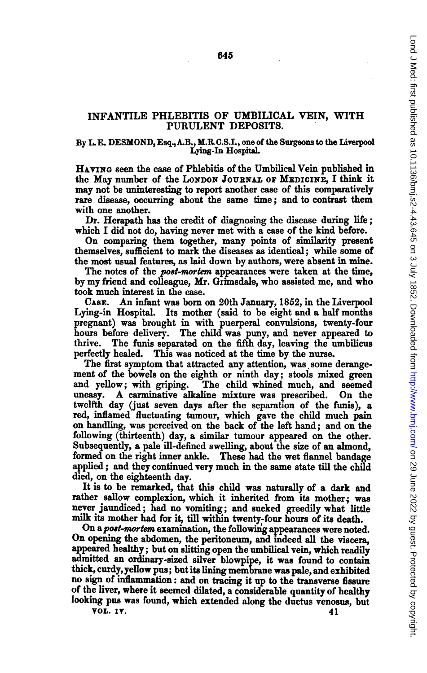## INFANTILE PHLEBITIS OF UMBILICAL VEIN, WITH PURULENT DEPOSITS.

## By LE DESMOND, Esq.,A.B., M.RC.S.I., one of the Surgeons to the Liverpool Iying-In HospitaL

HATING seen the case of Phlebitis of the Umbilical Vein published in the May number of the LONDON JOURNAL OF MEDICINE, I think it may not be uninteresting to report another case of this comparatively rare disease, occurring about the same time; and to contrast them with one another.

Dr. Herapath has the credit of diagnosing the disease during life; which I did not do, having never met with a case of the kind before.

On comparing them together, many points of similarity present themselves, sufficient to mark the diseases as identical; while some of the most usual features, as laid down by authors, were absent in mine.

The notes of the *post-mortem* appearances were taken at the time, by my friend and colleague, Mr. Grimsdale, who assisted me, and who took much interest in the case.

CASE. An infant was born on 20th January, 1852, in the Liverpool Lying-in Hospital. Its mother (said to be eight and a half months pregnant) was brought in with puerperal convulsions, twenty-four hours before delivery. The child was puny, and never appeared to The funis separated on the fifth day, leaving the umbilicus perfectly healed. This was noticed at the time by the nurse.

The first symptom that attracted any attention, was some derangement of the bowels on the eighth or ninth day; stools mixed green<br>and yellow; with griping. The child whined much, and seemed The child whined much, and seemed uneasy. A carminative alkaline mixture was prescribed. On the twelfth day (just seven days after the separation of the funis), a red, inflamed fluctuating tumour, which gave the child much pain on handling, was perceived on the back of the left hand; and on the following (thirteenth) day, a similar tumour appeared on the other. Subsequently, a pale ill-defincd swelling, about the size of an almond, formed on the right inner ankle. These had the wet flannel bandage applied; and they continued very much in the same state till the child died, on the eighteenth day.

It is to be remarked, that this child was naturally of a dark and rather sallow complexion, which it inherited from its mother; was never jaundiced; had no vomiting; and sucked greedily what little milk its mother had for it, till within twenty-four hours of its death.

On a post-mortem examination, the following appearances were noted. On opening the abdomen, the peritoneum, and indeed all the viscera, appeared healthy; but on slitting open the umbiical vein, which readily admitted an ordinary-sized silver blowpipe, it was found to contain thick, curdy, yellow pus; but its lining membrane was pale, and exhibited no sign of inflammation: and on tracing it up to the transverse fissure of the liver, where it seemed dilated, a considerable quantity of healthy looking pus was found, which extended along the ductus venosus, but

VOL. IV.  $41$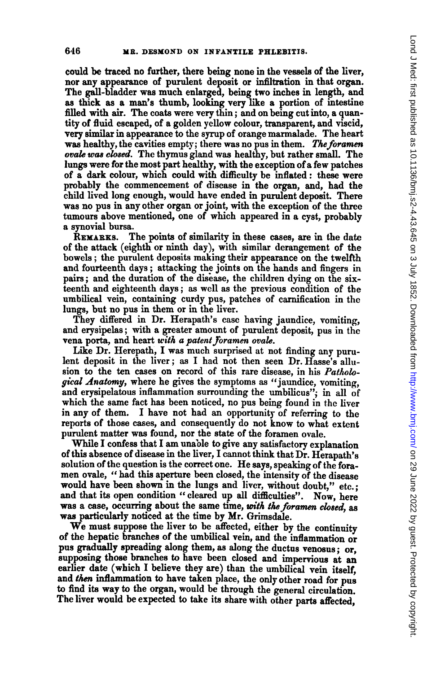could be traced no further, there being none in the vessels of the liver, nor any appearance of purulent deposit or infiltration in that organ. The gall-bladder was much enlarged, being two inches in length, and as thick as a man's thumb, looking very like a portion of intestine filled with air. The coats were very thin; and on being cut into, a quantity of fluid escaped, of a golden yellow colour, transparent, and viscid, Very similar in appearance to the syrup of orange marmalade. The heart was healthy, the cavities empty; there was no pus in them. The foramen ovale was closed. The thymus gland was healthy, but rather small. The lungs were for the most part healthy, with the exception of a few patches of a dark colour, which could with difficulty be inflated: these were probably the commencement of disease in the organ, and, had the child lived long enough, would have ended in purulent deposit. There was no pus in any other organ or joint, with the exception of the three tumours above mentioned, one of which appeared in a cyst, probably a synovial bursa.

REXARKS. The points of similarity in these cases, are in the date of the attack (eighth or ninth day), with similar derangement of the bowels; the purulent deposits making their appearance on the twelfth and fourteenth days; attacking the joints on the hands and fingers in pairs; and the duration of the disease, the children dying on the sixteenth and eighteenth days; as well as the previous condition of the umbilical vein, containing curdy pus, patches of carnification in the lungs, but no pus im them or in the liver.

They differed in Dr. Herapath's case having jaundice, vomiting, and erysipelas; with a greater amount of purulent deposit, pus in the vena porta, and heart with a patent foramen ovale.

Like Dr. Herepath, I was much surprised at not finding any purulent deposit in the liver; as <sup>I</sup> had not then seen Dr. Hasse's allusion to the ten cases on record of this rare disease, in his Pathological Anatomy, where he gives the symptoms as "jaundice, vomiting, and erysipelatous inflammation surrounding the umbilicus"; in all of which the same fact has been noticed, no pus being found in the liver in any of them. I have not had an opportunity of referring to the reports of those cases, and consequently do not know to what extent purulent matter was found, nor the state of the foramen ovale.

While I confess that I am unable to give any satisfactory explanation of this absence of disease in the liver, I cannot think that Dr. Herapath's solution of the question is the correct one. He says, speaking of the foramen ovale, " had this aperture been closed, the intensity of the disease would have been shown in the lungs and liver, without doubt," etc.; and that its open condition " cleared up all difficulties". Now, here was a case, occurring about the same time, with the foramen closed, as was particularly noticed at the time by Mr. Grimsdale.

We must suppose the liver to be affected, either by the continuity of the hepatic branches of the umbilical vein, and the inflammation or pus gradually spreading along them, as along the ductus venosus; or, supposing those branches to have been closed and impervious at an earlier date (which <sup>I</sup> believe they are) than the umbilical vein itself, and then inflammation to have taken place, the only other road for pus to find its way to the organ, would be through the general circulation. The liver would be expected to take its share with other parts affected,